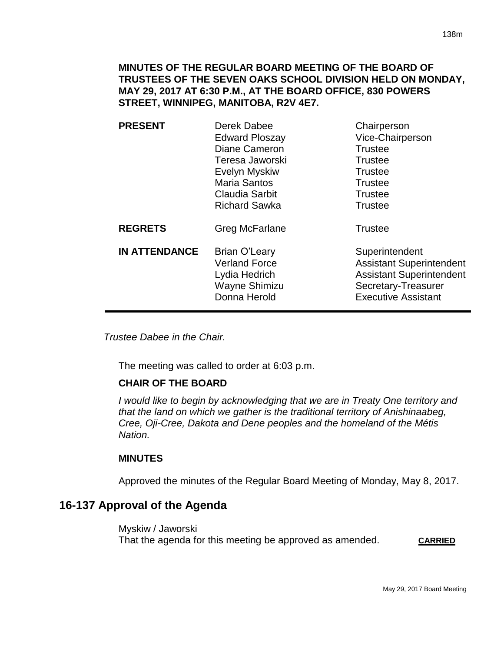**MINUTES OF THE REGULAR BOARD MEETING OF THE BOARD OF TRUSTEES OF THE SEVEN OAKS SCHOOL DIVISION HELD ON MONDAY, MAY 29, 2017 AT 6:30 P.M., AT THE BOARD OFFICE, 830 POWERS STREET, WINNIPEG, MANITOBA, R2V 4E7.**

| <b>PRESENT</b>       | Derek Dabee<br><b>Edward Ploszay</b><br>Diane Cameron<br>Teresa Jaworski<br>Evelyn Myskiw<br><b>Maria Santos</b><br>Claudia Sarbit<br><b>Richard Sawka</b> | Chairperson<br>Vice-Chairperson<br><b>Trustee</b><br><b>Trustee</b><br><b>Trustee</b><br><b>Trustee</b><br><b>Trustee</b><br><b>Trustee</b> |
|----------------------|------------------------------------------------------------------------------------------------------------------------------------------------------------|---------------------------------------------------------------------------------------------------------------------------------------------|
| <b>REGRETS</b>       | Greg McFarlane                                                                                                                                             | <b>Trustee</b>                                                                                                                              |
| <b>IN ATTENDANCE</b> | Brian O'Leary<br><b>Verland Force</b><br>Lydia Hedrich<br>Wayne Shimizu<br>Donna Herold                                                                    | Superintendent<br><b>Assistant Superintendent</b><br><b>Assistant Superintendent</b><br>Secretary-Treasurer<br><b>Executive Assistant</b>   |

*Trustee Dabee in the Chair.*

The meeting was called to order at 6:03 p.m.

## **CHAIR OF THE BOARD**

*I would like to begin by acknowledging that we are in Treaty One territory and that the land on which we gather is the traditional territory of Anishinaabeg, Cree, Oji-Cree, Dakota and Dene peoples and the homeland of the Métis Nation.*

## **MINUTES**

Approved the minutes of the Regular Board Meeting of Monday, May 8, 2017.

## **16-137 Approval of the Agenda**

Myskiw / Jaworski That the agenda for this meeting be approved as amended. **CARRIED**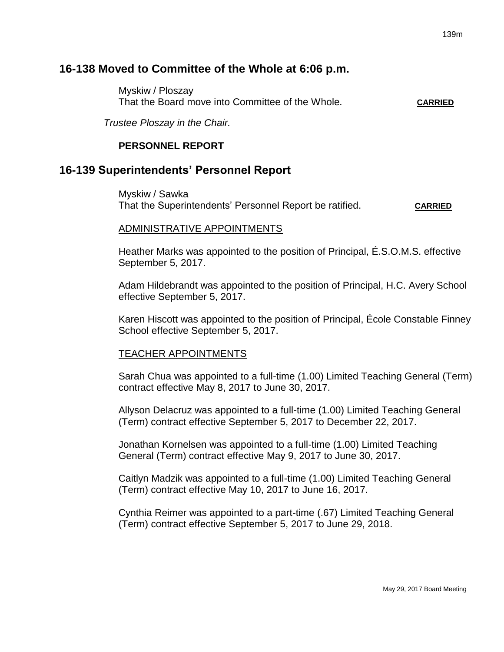# **16-138 Moved to Committee of the Whole at 6:06 p.m.**

Myskiw / Ploszay That the Board move into Committee of the Whole**. CARRIED**

*Trustee Ploszay in the Chair.*

# **PERSONNEL REPORT**

# **16-139 Superintendents' Personnel Report**

Myskiw / Sawka That the Superintendents' Personnel Report be ratified. **CARRIED**

#### ADMINISTRATIVE APPOINTMENTS

Heather Marks was appointed to the position of Principal, É.S.O.M.S. effective September 5, 2017.

Adam Hildebrandt was appointed to the position of Principal, H.C. Avery School effective September 5, 2017.

Karen Hiscott was appointed to the position of Principal, École Constable Finney School effective September 5, 2017.

#### TEACHER APPOINTMENTS

Sarah Chua was appointed to a full-time (1.00) Limited Teaching General (Term) contract effective May 8, 2017 to June 30, 2017.

Allyson Delacruz was appointed to a full-time (1.00) Limited Teaching General (Term) contract effective September 5, 2017 to December 22, 2017.

Jonathan Kornelsen was appointed to a full-time (1.00) Limited Teaching General (Term) contract effective May 9, 2017 to June 30, 2017.

Caitlyn Madzik was appointed to a full-time (1.00) Limited Teaching General (Term) contract effective May 10, 2017 to June 16, 2017.

Cynthia Reimer was appointed to a part-time (.67) Limited Teaching General (Term) contract effective September 5, 2017 to June 29, 2018.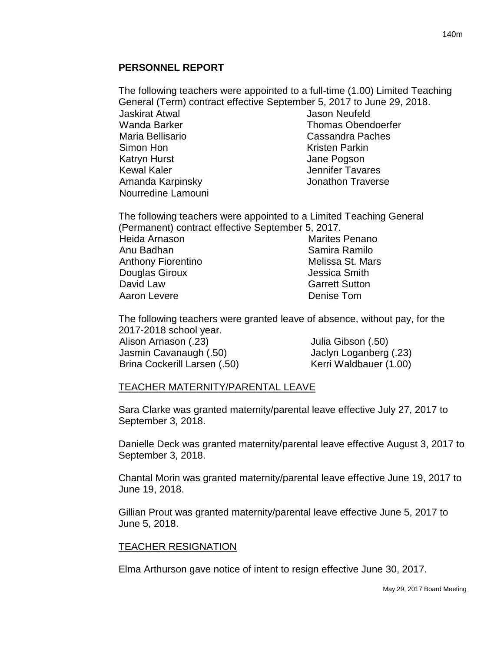## **PERSONNEL REPORT**

The following teachers were appointed to a full-time (1.00) Limited Teaching General (Term) contract effective September 5, 2017 to June 29, 2018. Jaskirat Atwal Wanda Barker Maria Bellisario Simon Hon Katryn Hurst Kewal Kaler Amanda Karpinsky Nourredine Lamouni Jason Neufeld Thomas Obendoerfer Cassandra Paches Kristen Parkin Jane Pogson Jennifer Tavares Jonathon Traverse

The following teachers were appointed to a Limited Teaching General (Permanent) contract effective September 5, 2017. Heida Arnason Anu Badhan Anthony Fiorentino Douglas Giroux David Law Aaron Levere Marites Penano Samira Ramilo Melissa St. Mars Jessica Smith Garrett Sutton Denise Tom

The following teachers were granted leave of absence, without pay, for the 2017-2018 school year.

Alison Arnason (.23) Jasmin Cavanaugh (.50) Brina Cockerill Larsen (.50) Julia Gibson (.50) Jaclyn Loganberg (.23) Kerri Waldbauer (1.00)

#### TEACHER MATERNITY/PARENTAL LEAVE

Sara Clarke was granted maternity/parental leave effective July 27, 2017 to September 3, 2018.

Danielle Deck was granted maternity/parental leave effective August 3, 2017 to September 3, 2018.

Chantal Morin was granted maternity/parental leave effective June 19, 2017 to June 19, 2018.

Gillian Prout was granted maternity/parental leave effective June 5, 2017 to June 5, 2018.

#### TEACHER RESIGNATION

Elma Arthurson gave notice of intent to resign effective June 30, 2017.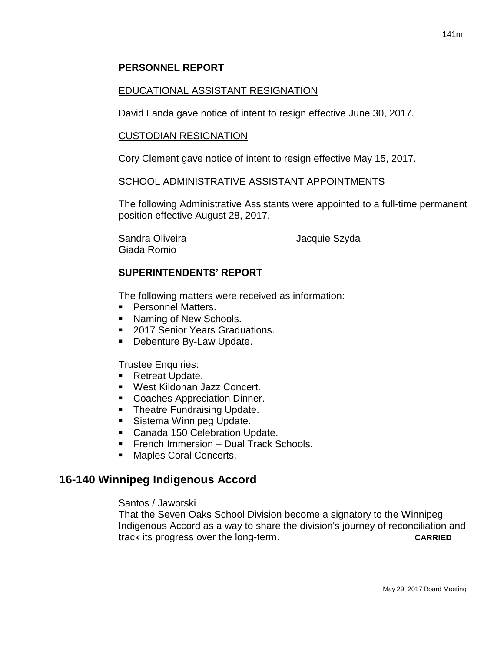## **PERSONNEL REPORT**

#### EDUCATIONAL ASSISTANT RESIGNATION

David Landa gave notice of intent to resign effective June 30, 2017.

#### CUSTODIAN RESIGNATION

Cory Clement gave notice of intent to resign effective May 15, 2017.

#### SCHOOL ADMINISTRATIVE ASSISTANT APPOINTMENTS

The following Administrative Assistants were appointed to a full-time permanent position effective August 28, 2017.

Sandra Oliveira **Maccial Sandra Oliveira** de La Vacquie Szyda Giada Romio

#### **SUPERINTENDENTS' REPORT**

The following matters were received as information:

- **Personnel Matters.**
- Naming of New Schools.
- 2017 Senior Years Graduations.
- **Debenture By-Law Update.**

Trustee Enquiries:

- Retreat Update.
- West Kildonan Jazz Concert.
- **Coaches Appreciation Dinner.**
- **Theatre Fundraising Update.**
- **Sistema Winnipeg Update.**
- Canada 150 Celebration Update.
- **Figure 1** French Immersion Dual Track Schools.
- **Maples Coral Concerts.**

## **16-140 Winnipeg Indigenous Accord**

#### Santos / Jaworski

That the Seven Oaks School Division become a signatory to the Winnipeg Indigenous Accord as a way to share the division's journey of reconciliation and track its progress over the long-term. **CARRIED**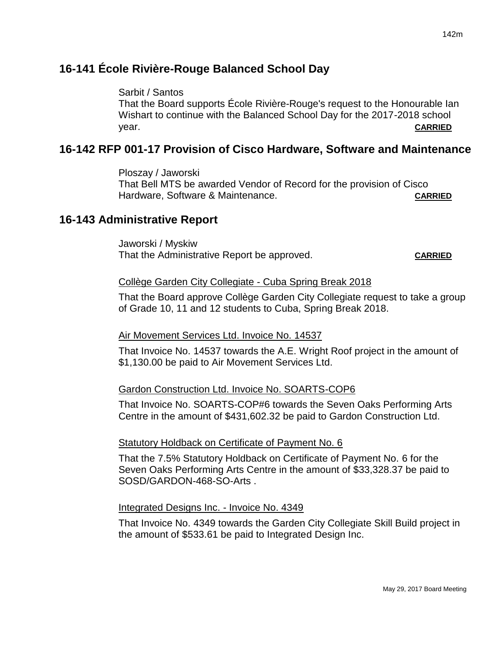# **16-141 École Rivière-Rouge Balanced School Day**

### Sarbit / Santos

That the Board supports École Rivière-Rouge's request to the Honourable Ian Wishart to continue with the Balanced School Day for the 2017-2018 school year. **CARRIED**

# **16-142 RFP 001-17 Provision of Cisco Hardware, Software and Maintenance**

Ploszay / Jaworski That Bell MTS be awarded Vendor of Record for the provision of Cisco Hardware, Software & Maintenance. **CARRIED**

# **16-143 Administrative Report**

Jaworski / Myskiw That the Administrative Report be approved. **CARRIED**

#### Collège Garden City Collegiate - Cuba Spring Break 2018

That the Board approve Collège Garden City Collegiate request to take a group of Grade 10, 11 and 12 students to Cuba, Spring Break 2018.

## Air Movement Services Ltd. Invoice No. 14537

That Invoice No. 14537 towards the A.E. Wright Roof project in the amount of \$1,130.00 be paid to Air Movement Services Ltd.

#### Gardon Construction Ltd. Invoice No. SOARTS-COP6

That Invoice No. SOARTS-COP#6 towards the Seven Oaks Performing Arts Centre in the amount of \$431,602.32 be paid to Gardon Construction Ltd.

#### Statutory Holdback on Certificate of Payment No. 6

That the 7.5% Statutory Holdback on Certificate of Payment No. 6 for the Seven Oaks Performing Arts Centre in the amount of \$33,328.37 be paid to SOSD/GARDON-468-SO-Arts .

#### Integrated Designs Inc. - Invoice No. 4349

That Invoice No. 4349 towards the Garden City Collegiate Skill Build project in the amount of \$533.61 be paid to Integrated Design Inc.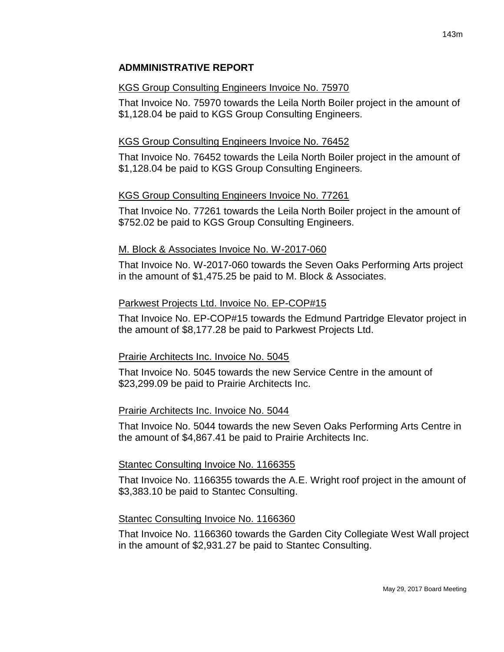# **ADMMINISTRATIVE REPORT**

#### KGS Group Consulting Engineers Invoice No. 75970

That Invoice No. 75970 towards the Leila North Boiler project in the amount of \$1,128.04 be paid to KGS Group Consulting Engineers.

## KGS Group Consulting Engineers Invoice No. 76452

That Invoice No. 76452 towards the Leila North Boiler project in the amount of \$1,128.04 be paid to KGS Group Consulting Engineers.

#### KGS Group Consulting Engineers Invoice No. 77261

That Invoice No. 77261 towards the Leila North Boiler project in the amount of \$752.02 be paid to KGS Group Consulting Engineers.

#### M. Block & Associates Invoice No. W-2017-060

That Invoice No. W-2017-060 towards the Seven Oaks Performing Arts project in the amount of \$1,475.25 be paid to M. Block & Associates.

#### Parkwest Projects Ltd. Invoice No. EP-COP#15

That Invoice No. EP-COP#15 towards the Edmund Partridge Elevator project in the amount of \$8,177.28 be paid to Parkwest Projects Ltd.

#### Prairie Architects Inc. Invoice No. 5045

That Invoice No. 5045 towards the new Service Centre in the amount of \$23,299.09 be paid to Prairie Architects Inc.

#### Prairie Architects Inc. Invoice No. 5044

That Invoice No. 5044 towards the new Seven Oaks Performing Arts Centre in the amount of \$4,867.41 be paid to Prairie Architects Inc.

#### Stantec Consulting Invoice No. 1166355

That Invoice No. 1166355 towards the A.E. Wright roof project in the amount of \$3,383.10 be paid to Stantec Consulting.

#### Stantec Consulting Invoice No. 1166360

That Invoice No. 1166360 towards the Garden City Collegiate West Wall project in the amount of \$2,931.27 be paid to Stantec Consulting.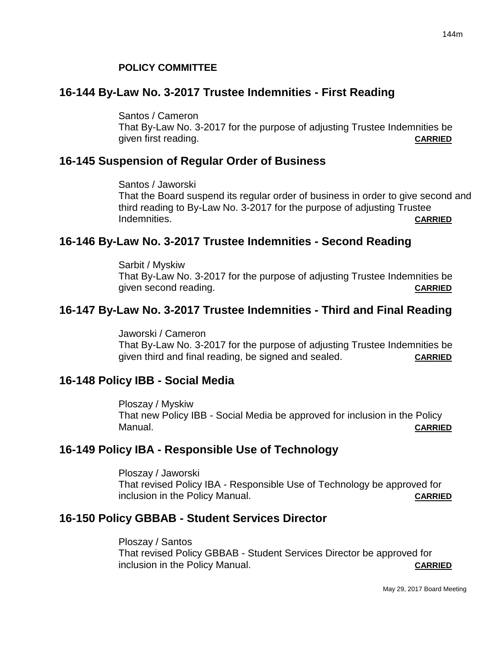#### **POLICY COMMITTEE**

#### **16-144 By-Law No. 3-2017 Trustee Indemnities - First Reading**

Santos / Cameron That By-Law No. 3-2017 for the purpose of adjusting Trustee Indemnities be given first reading. **CARRIED**

# **16-145 Suspension of Regular Order of Business**

Santos / Jaworski That the Board suspend its regular order of business in order to give second and third reading to By-Law No. 3-2017 for the purpose of adjusting Trustee Indemnities. **CARRIED**

## **16-146 By-Law No. 3-2017 Trustee Indemnities - Second Reading**

Sarbit / Myskiw That By-Law No. 3-2017 for the purpose of adjusting Trustee Indemnities be given second reading. **CARRIED**

## **16-147 By-Law No. 3-2017 Trustee Indemnities - Third and Final Reading**

Jaworski / Cameron That By-Law No. 3-2017 for the purpose of adjusting Trustee Indemnities be given third and final reading, be signed and sealed. **CARRIED**

#### **16-148 Policy IBB - Social Media**

Ploszay / Myskiw That new Policy IBB - Social Media be approved for inclusion in the Policy Manual. **CARRIED**

## **16-149 Policy IBA - Responsible Use of Technology**

Ploszay / Jaworski That revised Policy IBA - Responsible Use of Technology be approved for inclusion in the Policy Manual. **CARRIED**

## **16-150 Policy GBBAB - Student Services Director**

Ploszay / Santos That revised Policy GBBAB - Student Services Director be approved for inclusion in the Policy Manual. **CARRIED**

May 29, 2017 Board Meeting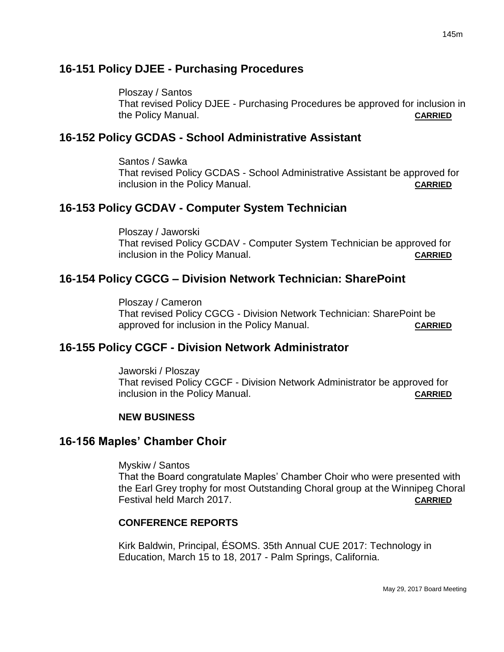# **16-151 Policy DJEE - Purchasing Procedures**

Ploszay / Santos That revised Policy DJEE - Purchasing Procedures be approved for inclusion in the Policy Manual. **CARRIED**

# **16-152 Policy GCDAS - School Administrative Assistant**

Santos / Sawka That revised Policy GCDAS - School Administrative Assistant be approved for inclusion in the Policy Manual. **CARRIED**

# **16-153 Policy GCDAV - Computer System Technician**

Ploszay / Jaworski That revised Policy GCDAV - Computer System Technician be approved for inclusion in the Policy Manual. **CARRIED**

# **16-154 Policy CGCG – Division Network Technician: SharePoint**

Ploszay / Cameron That revised Policy CGCG - Division Network Technician: SharePoint be approved for inclusion in the Policy Manual. **CARRIED**

# **16-155 Policy CGCF - Division Network Administrator**

Jaworski / Ploszay That revised Policy CGCF - Division Network Administrator be approved for inclusion in the Policy Manual. **CARRIED**

# **NEW BUSINESS**

# **16-156 Maples' Chamber Choir**

Myskiw / Santos

That the Board congratulate Maples' Chamber Choir who were presented with the Earl Grey trophy for most Outstanding Choral group at the Winnipeg Choral Festival held March 2017. **CARRIED**

# **CONFERENCE REPORTS**

Kirk Baldwin, Principal, ÉSOMS. 35th Annual CUE 2017: Technology in Education, March 15 to 18, 2017 - Palm Springs, California.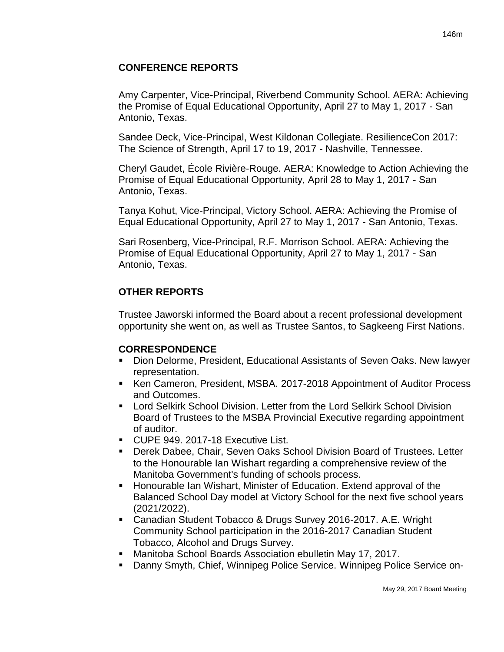# **CONFERENCE REPORTS**

Amy Carpenter, Vice-Principal, Riverbend Community School. AERA: Achieving the Promise of Equal Educational Opportunity, April 27 to May 1, 2017 - San Antonio, Texas.

Sandee Deck, Vice-Principal, West Kildonan Collegiate. ResilienceCon 2017: The Science of Strength, April 17 to 19, 2017 - Nashville, Tennessee.

Cheryl Gaudet, École Rivière-Rouge. AERA: Knowledge to Action Achieving the Promise of Equal Educational Opportunity, April 28 to May 1, 2017 - San Antonio, Texas.

Tanya Kohut, Vice-Principal, Victory School. AERA: Achieving the Promise of Equal Educational Opportunity, April 27 to May 1, 2017 - San Antonio, Texas.

Sari Rosenberg, Vice-Principal, R.F. Morrison School. AERA: Achieving the Promise of Equal Educational Opportunity, April 27 to May 1, 2017 - San Antonio, Texas.

# **OTHER REPORTS**

Trustee Jaworski informed the Board about a recent professional development opportunity she went on, as well as Trustee Santos, to Sagkeeng First Nations.

# **CORRESPONDENCE**

- Dion Delorme, President, Educational Assistants of Seven Oaks. New lawyer representation.
- Ken Cameron, President, MSBA. 2017-2018 Appointment of Auditor Process and Outcomes.
- Lord Selkirk School Division. Letter from the Lord Selkirk School Division Board of Trustees to the MSBA Provincial Executive regarding appointment of auditor.
- CUPE 949. 2017-18 Executive List.
- Derek Dabee, Chair, Seven Oaks School Division Board of Trustees. Letter to the Honourable Ian Wishart regarding a comprehensive review of the Manitoba Government's funding of schools process.
- Honourable Ian Wishart, Minister of Education. Extend approval of the Balanced School Day model at Victory School for the next five school years (2021/2022).
- Canadian Student Tobacco & Drugs Survey 2016-2017. A.E. Wright Community School participation in the 2016-2017 Canadian Student Tobacco, Alcohol and Drugs Survey.
- Manitoba School Boards Association ebulletin May 17, 2017.
- Danny Smyth, Chief, Winnipeg Police Service. Winnipeg Police Service on-